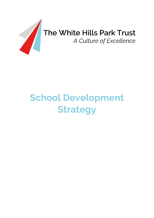

# **School Development Strategy**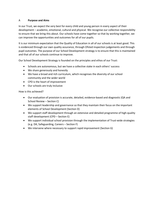# A **Purpose and Aims**

In our Trust, we expect the very best for every child and young person in every aspect of their development – academic, emotional, cultural and physical. We recognise our collective responsibility to ensure that we bring this about. Our schools have come together so that by working together, we can improve the opportunities and outcomes for all of our pupils.

It is our minimum expectation that the Quality of Education in all of our schools is at least good. This is evidenced through our own quality assurance, through Ofsted inspection judgements and through pupil outcomes. The purpose of our School Development strategy is to ensure that this is maintained and that all of our schools continue to improve.

Our School Development Strategy is founded on the principles and ethos of our Trust:

- Schools are autonomous, but we have a collective stake in each others' success
- We share generously and honestly
- We have a broad and rich curriculum, which recognises the diversity of our school community and the wider world
- CPD is the heart of improvement
- Our schools are truly inclusive

How is this achieved?

- Our evaluation of provision is accurate, detailed, evidence-based and diagnostic (QA and School Review – Section C)
- We support leadership and governance so that they maintain their focus on the important elements of School Development (Section D)
- We support staff development through an extensive and detailed programme of high-quality staff development (CPD – Section E)
- We support individual school provision through the implementation of Trust-wide strategies (e.g. DA, Safeguarding, Careers – Section F)
- We intervene where necessary to support rapid improvement (Section G)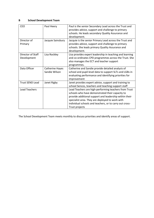# **B School Development Team**

| <b>CEO</b>             | Paul Heery             | Paul is the senior Secondary Lead across the Trust and   |
|------------------------|------------------------|----------------------------------------------------------|
|                        |                        | provides advice, support and challenge to primary        |
|                        |                        | schools. He leads secondary Quality Assurance and        |
|                        |                        | development.                                             |
| Director of            | Jacquie Sainsbury      | Jacquie is the senior Primary Lead across the Trust and  |
| Primary                |                        | provides advice, support and challenge to primary        |
|                        |                        | schools. She leads primary Quality Assurance and         |
|                        |                        | development.                                             |
| Director of Staff      | Lisa Rockley           | Lisa provides expert leadership in teaching and learning |
| Development            |                        | and co-ordinates CPD programmes across the Trust. She    |
|                        |                        | also manages the ECT and teacher support                 |
|                        |                        | programmes.                                              |
| Data Officer           | <b>Catherine Hayes</b> | Catherine and Sandie provide detailed analysis of        |
|                        | Sandie Wilson          | school and pupil-level data to support SLTs and LGBs in  |
|                        |                        | evaluating performance and identifying priorities for    |
|                        |                        | improvement                                              |
| <b>Trust SEND Lead</b> | Janet Rigby            | Janet provides expert advice, support and training to    |
|                        |                        | school Sencos, teachers and teaching support staff       |
| <b>Lead Teachers</b>   |                        | Lead Teachers are high-performing teachers from Trust    |
|                        |                        | schools who have demonstrated their capacity to          |
|                        |                        | provide additional support and leadership within their   |
|                        |                        | specialist area. They are deployed to work with          |
|                        |                        | individual schools and teachers, or to carry out cross-  |
|                        |                        | Trust projects                                           |

The School Development Team meets monthly to discuss priorities and identify areas of support.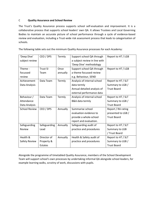# C **Quality Assurance and School Review**

The Trust's Quality Assurance process supports school self-evaluation and improvement. It is a collaborative process that supports school leaders' own QA. It allows Trustees and Local Governing Bodies to maintain an accurate picture of school performance through a cycle of evidence-based review and evaluation, including a Trust-wide risk assessment process that leads to categorisation of schools.

The following table sets out the minimum Quality Assurance processes for each Academy:

| 'Deep Dive'          | CEO / DPS       | Termly   | Support school QA through     | Report to HT / LGB |
|----------------------|-----------------|----------|-------------------------------|--------------------|
| subject review       |                 |          | a subject review in line with |                    |
|                      |                 |          | 'Deep Dive' methodology       |                    |
| Theme -              | <b>Trust SI</b> | Once     | Support school QA through     | Report to HT / LGB |
| focussed             | Team            | annually | a theme focussed review       |                    |
| review               |                 |          | e.g. Behaviour, SEND          |                    |
| Achievement          | Data Team       | Termly   | Analysis of internal school   | Report to HT / SLT |
| Data Analysis        |                 |          | data termly                   | Summary to LGB /   |
|                      |                 |          | Annual detailed analysis of   | <b>Trust Board</b> |
|                      |                 |          | external performance data     |                    |
| Behaviour /          | Data Team       | Termly   | Analysis of internal school   | Report to HT / SLT |
| Attendance           |                 |          | B&A data termly               | Summary to LGB /   |
| Data Analysis        |                 |          |                               | <b>Trust Board</b> |
| <b>School Review</b> | CEO / DPS       | Annually | Summarise school              | Report / RA rating |
|                      |                 |          | evaluation evidence to        | presented to LGB / |
|                      |                 |          | provide a whole-school        | <b>Trust Board</b> |
|                      |                 |          | report and evaluation.        |                    |
| Safeguarding         | Safeguarding    | Annually | Safeguarding audit of         | Report to HT / SLT |
| Review               | Lead            |          | practice and procedures       | Summary to LGB     |
|                      |                 |          |                               | / Trust Board      |
| Health &             | Director of     | Annually | Health & Safety audit of      | Report to HT / SLT |
| Safety Review        | Property &      |          | practice and procedures       | Summary to LGB /   |
|                      | <b>Estates</b>  |          |                               | <b>Trust Board</b> |

Alongside the programme of timetabled Quality Assurance, members of the School Development Team will support school's own processes by undertaking informal QA alongside school leaders, for example learning walks, scrutiny of work, discussions with pupils.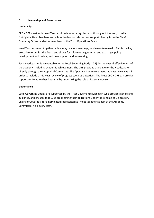#### D **Leadership and Governance**

#### **Leadership**

CEO / DPE meet with Head Teachers in school on a regular basis throughout the year, usually fortnightly. Head Teachers and school leaders can also access support directly from the Chief Operating Officer and other members of the Trust Operations Team.

Head Teachers meet together in Academy Leaders meetings, held every two weeks. This is the key executive forum for the Trust, and allows for information gathering and exchange, policy development and review, and peer support and networking.

Each Headteacher is accountable to the Local Governing Body (LGB) for the overall effectiveness of the academy, including academic achievement. The LGB provides challenge for the Headteacher directly through their Appraisal Committee. The Appraisal Committee meets at least twice a year in order to include a mid-year review of progress towards objectives. The Trust CEO / DPE can provide support for Headteacher Appraisal by undertaking the role of External Adviser.

#### **Governance**

Local Governing Bodies are supported by the Trust Governance Manager, who provides advice and guidance, and ensures that LGBs are meeting their obligations under the Scheme of Delegation. Chairs of Governors (or a nominated representative) meet together as part of the Academy Committee, held every term.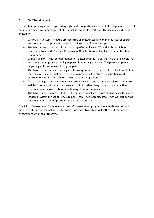# E **Staff Development**

The key to improving schools is providing high-quality opportunities for staff development. The Trust provides an extensive programme of CPD, which is accessible to all staff. This includes, but is not limited to:

- WHP CPD Hub App The App provides free unlimited access to online courses for all staff and governors and provides courses in a wide range of relevant topics.
- The Trust works in partnership with a group of other local MATs and Ambition School Leadership to provide National Professional Qualifications and an Early Careers Teacher programme.
- White Hills Park is the founder member of 'Better Together' a partnership of 17 schools that work together to provide training opportunities in range of areas. The partnership runs a large range of free courses during the year.
- The Trust runs an annual Teaching and Learning Conference, free to all Trust school staff and focussing on an important current aspect of provision. It features presentations and contributions from Trust schools as well as external speakers.
- 'Trust Teaching' is the White Hills Park termly Teaching and learning newsletter. It features articles from school staff and external contributors describing current practice, action research projects in our schools and findings from recent research.
- The Trust supports a range of other CPD activities which arise from discussions with school leaders or within the School Development Team – for example, cross-Trust working parties, research teams, one-off presentations / training sessions.

The School Development Team reviews the staff development programme at each meeting and monitors take up and impact. A termly report is provided to each school setting out the school's engagement with the programme.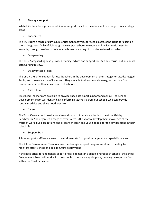# F **Strategic support**

White Hills Park Trust provides additional support for school development in a range of key strategic areas.

• Enrichment

The Trust runs a range of curriculum enrichment activities for schools across the Trust, for example choirs, languages, Duke of Edinburgh. We support schools to source and deliver enrichment for example, through provision of school minibuses or sharing of costs for external providers.

• Safeguarding

The Trust Safeguarding Lead provides training, advice and support for DSLs and carries out an annual safeguarding review.

• Disadvantaged Pupils

The CEO / DPE offer support for Headteachers in the development of the strategy for Disadvantaged Pupils, and the evaluation of its impact. They are able to draw on and share good practice from teachers and school leaders across Trust schools.

• Curriculum

Trust Lead Teachers are available to provide specialist expert support and advice. The School Development Team will identify high-performing teachers across our schools who can provide specialist advice and share good practice.

• Careers

The Trust Careers Lead provides advice and support to enable schools to meet the Gatsby Benchmarks. She organises a range of events across the year to develop their knowledge of the world of work, build aspirations and prepare children and young people for the key decisions in their school life.

• Support Staff

School support staff have access to central team staff to provide targeted and specialist advice.

The School Development Team reviews the strategic support programme at each meeting to monitors effectiveness and decide future deployment.

If the need arises for additional support or development in a school or groups of schools, the School Development Team will work with the schools to put a strategy in place, drawing on expertise from within the Trust or beyond.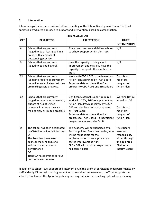#### G **Intervention**

School categorisations are reviewed at each meeting of the School Development Team. The Trust operates a graduated approach to support and intervention, based on categorisation

|                |                                                                                                                                                                                                                                                                  | <b>RISK ASSESSMENT</b>                                                                                                                                                                                                                                                                           |                                                                                                                          |
|----------------|------------------------------------------------------------------------------------------------------------------------------------------------------------------------------------------------------------------------------------------------------------------|--------------------------------------------------------------------------------------------------------------------------------------------------------------------------------------------------------------------------------------------------------------------------------------------------|--------------------------------------------------------------------------------------------------------------------------|
| <b>CAT</b>     | <b>DESCRIPTOR</b>                                                                                                                                                                                                                                                | <b>EXPECTATION</b>                                                                                                                                                                                                                                                                               | <b>TRUST</b>                                                                                                             |
|                |                                                                                                                                                                                                                                                                  |                                                                                                                                                                                                                                                                                                  | <b>INTERVENTION</b>                                                                                                      |
| A              | Schools that are currently<br>judged to be at least good in all<br>areas, with elements of<br>outstanding practice                                                                                                                                               | Share best practice and deliver school-<br>to-school support within the Trust                                                                                                                                                                                                                    | N/A                                                                                                                      |
| B              | Schools that are currently<br>judged to be good overall                                                                                                                                                                                                          | Have the capacity to bring about<br>improvement and may also have the<br>capacity to support others within the<br>Trust                                                                                                                                                                          | N/A                                                                                                                      |
| C1             | Schools that are currently<br>judged to require improvement,<br>but evidence indicates that they<br>are making rapid progress.                                                                                                                                   | Work with CEO / DPE to implement an<br>Action Plan approved by Trust Board<br>Termly update on the Action Plan<br>progress to CEO / DPE and Trust Board                                                                                                                                          | <b>Trust Board</b><br>monitors<br>progress of<br><b>Action Plan</b>                                                      |
| C <sub>2</sub> | Schools that are currently<br>judged to require improvement,<br>but are at risk of Ofsted<br>category 4 because they are<br>making slow or limited progress.                                                                                                     | Significant external support required -<br>work with CEO / DPE to implement an<br>Action Plan drawn up jointly by CEO /<br>DPE and Headteacher, and approved<br>by Trust Board<br>Termly update on the Action Plan<br>progress to Trust Board - if insufficient<br>progress made, consider Cat D | <b>Warning Notice</b><br>issued to LGB<br><b>Trust Board</b><br>monitors<br>progress of<br><b>Action Plan</b>            |
| D              | The school has been designated<br>by Ofsted as in Special Measures<br><b>OR</b><br>The Trust has been asked to<br>sponsor the school due to<br>serious concerns over its<br>performance<br><b>OR</b><br>Trust QA has identified serious<br>performance concerns. | This academy will be supported by a<br>Trust appointed Executive Leader, who<br>will be responsible for the<br>implementation of an approved and<br>costed Improvement Plan.<br>CEO / DPE will monitor progress on a<br>half-termly basis.                                                       | <b>Trust Board</b><br>assumes<br>responsibility<br>either through<br>an appointed<br>Chair or an<br><b>Interim Board</b> |

In addition to school level support and intervention, in the event of consistent underperformance by staff and only if informal coaching has not led to sustained improvement, the Trust supports the school to implement the Appraisal policy by carrying out a formal coaching cycle where necessary.